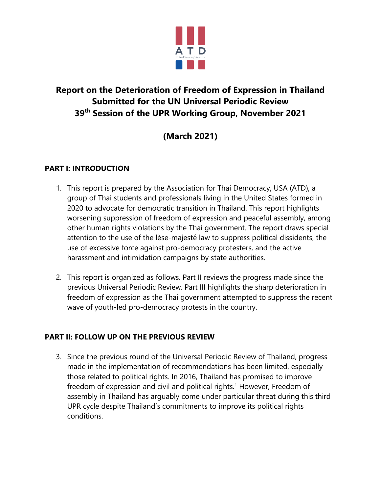

## **Report on the Deterioration of Freedom of Expression in Thailand Submitted for the UN Universal Periodic Review 39th Session of the UPR Working Group, November 2021**

# **(March 2021)**

### **PART I: INTRODUCTION**

- 1. This report is prepared by the Association for Thai Democracy, USA (ATD), <sup>a</sup> group of Thai students and professionals living in the United States formed in 2020 to advocate for democratic transition in Thailand. This report highlights worsening suppression of freedom of expression and peaceful assembly, among other human rights violations by the Thai government. The report draws special attention to the use of the lèse-majesté law to suppress political dissidents, the use of excessive force against pro-democracy protesters, and the active harassment and intimidation campaigns by state authorities.
- 2. This report is organized as follows. Part II reviews the progress made since the previous Universal Periodic Review. Part III highlights the sharp deterioration in freedom of expression as the Thai governmen<sup>t</sup> attempted to suppress the recent wave of youth-led pro-democracy protests in the country.

### **PART II: FOLLOW UP ON THE PREVIOUS REVIEW**

3. Since the previous round of the Universal Periodic Review of Thailand, progress made in the implementation of recommendations has been limited, especially those related to political rights. In 2016, Thailand has promised to improve freedom of expression and civil and political rights. 1 However, Freedom of assembly in Thailand has arguably come under particular threat during this third UPR cycle despite Thailand'<sup>s</sup> commitments to improve its political rights conditions.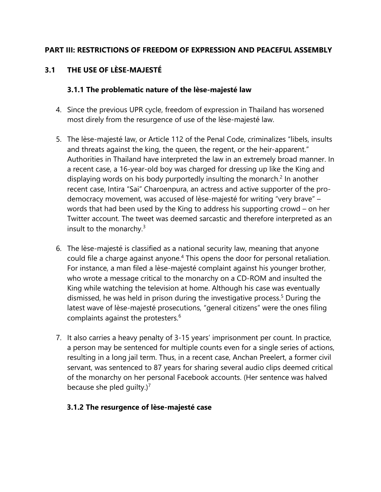#### **PART III: RESTRICTIONS OF FREEDOM OF EXPRESSION AND PEACEFUL ASSEMBLY**

## **3.1 THE USE OF LÈSE-MAJESTÉ**

#### **3.1.1 The problematic nature of the lèse-majesté law**

- 4. Since the previous UPR cycle, freedom of expression in Thailand has worsened most direly from the resurgence of use of the lèse-majesté law.
- 5. The lèse-majesté law, or Article 112 of the Penal Code, criminalizes "libels, insults and threats against the king, the queen, the regent, or the heir-apparent." Authorities in Thailand have interpreted the law in an extremely broad manner. In <sup>a</sup> recent case, <sup>a</sup> 16-year-old boy was charged for dressing up like the King and displaying words on his body purportedly insulting the monarch.<sup>2</sup> In another recent case, Intira "Sai" Charoenpura, an actress and active supporter of the prodemocracy movement, was accused of lèse-majesté for writing "very brave" – words that had been used by the King to address his supporting crowd – on her Twitter account. The tweet was deemed sarcastic and therefore interpreted as an insult to the monarchy. $^3$
- 6. The lèse-majesté is classified as <sup>a</sup> national security law, meaning that anyone could file <sup>a</sup> charge against anyone. 4 This opens the door for personal retaliation. For instance, <sup>a</sup> man filed <sup>a</sup> lèse-majesté complaint against his younger brother, who wrote <sup>a</sup> message critical to the monarchy on <sup>a</sup> CD-ROM and insulted the King while watching the television at home. Although his case was eventually dismissed, he was held in prison during the investigative process. 5 During the latest wave of lèse-majesté prosecutions, "general citizens" were the ones filing complaints against the protesters. $^6$
- 7. It also carries <sup>a</sup> heavy penalty of 3-15 years' imprisonment per count. In practice, <sup>a</sup> person may be sentenced for multiple counts even for <sup>a</sup> single series of actions, resulting in <sup>a</sup> long jail term. Thus, in <sup>a</sup> recent case, Anchan Preelert, <sup>a</sup> former civil servant, was sentenced to 87 years for sharing several audio clips deemed critical of the monarchy on her personal Facebook accounts. (Her sentence was halved because she pled guilty.) $^7$

#### **3.1.2 The resurgence of lèse-majesté case**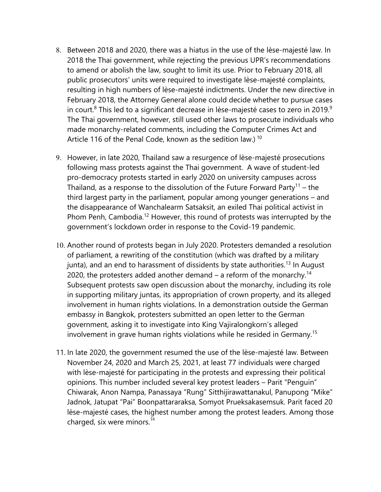- 8. Between 2018 and 2020, there was <sup>a</sup> hiatus in the use of the lèse-majesté law. In 2018 the Thai government, while rejecting the previous UPR'<sup>s</sup> recommendations to amend or abolish the law, sought to limit its use. Prior to February 2018, all public prosecutors' units were required to investigate lèse-majesté complaints, resulting in high numbers of lèse-majesté indictments. Under the new directive in February 2018, the Attorney General alone could decide whether to pursue cases in court.<sup>8</sup> This led to a significant decrease in lèse-majesté cases to zero in 2019.<sup>9</sup> The Thai government, however, still used other laws to prosecute individuals who made monarchy-related comments, including the Computer Crimes Act and Article 116 of the Penal Code, known as the sedition law.)  $^{\rm 10}$
- 9. However, in late 2020, Thailand saw <sup>a</sup> resurgence of lèse-majesté prosecutions following mass protests against the Thai government. A wave of student-led pro-democracy protests started in early 2020 on university campuses across Thailand, as a response to the dissolution of the Future Forward Party<sup>11</sup> – the third largest party in the parliament, popular among younger generations – and the disappearance of Wanchalearm Satsaksit, an exiled Thai political activist in Phom Penh, Cambodia.<sup>12</sup> However, this round of protests was interrupted by the government'<sup>s</sup> lockdown order in response to the Covid-19 pandemic.
- 10. Another round of protests began in July 2020. Protesters demanded <sup>a</sup> resolution of parliament, <sup>a</sup> rewriting of the constitution (which was drafted by <sup>a</sup> military junta), and an end to harassment of dissidents by state authorities.<sup>13</sup> In August 2020, the protesters added another demand – a reform of the monarchy. $^\mathrm{14}$ Subsequent protests saw open discussion about the monarchy, including its role in supporting military juntas, its appropriation of crown property, and its alleged involvement in human rights violations. In <sup>a</sup> demonstration outside the German embassy in Bangkok, protesters submitted an open letter to the German government, asking it to investigate into King Vajiralongkorn'<sup>s</sup> alleged involvement in grave human rights violations while he resided in Germany. 15
- 11. In late 2020, the governmen<sup>t</sup> resumed the use of the lèse-majesté law. Between November 24, 2020 and March 25, 2021, at least 77 individuals were charged with lèse-majesté for participating in the protests and expressing their political opinions. This number included several key protest leaders – Parit "Penguin" Chiwarak, Anon Nampa, Panassaya "Rung" Sitthijirawattanakul, Panupong "Mike" Jadnok, Jatupat "Pai" Boonpattararaksa, Somyot Prueksakasemsuk. Parit faced 20 lèse-majesté cases, the highest number among the protest leaders. Among those charged, six were minors. $^{16}$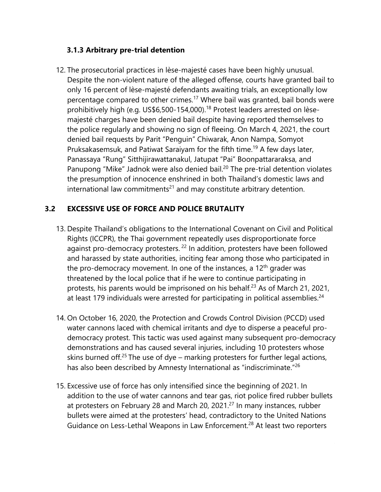#### **3.1.3 Arbitrary pre-trial detention**

12. The prosecutorial practices in lèse-majesté cases have been highly unusual. Despite the non-violent nature of the alleged offense, courts have granted bail to only 16 percent of lèse-majesté defendants awaiting trials, an exceptionally low percentage compared to other crimes.<sup>17</sup> Where bail was granted, bail bonds were prohibitively high (e.g. US\$6,500-154,000). 18 Protest leaders arrested on lèsemajesté charges have been denied bail despite having reported themselves to the police regularly and showing no sign of fleeing. On March 4, 2021, the court denied bail requests by Parit "Penguin" Chiwarak, Anon Nampa, Somyot Pruksakasemsuk, and Patiwat Saraiyam for the fifth time.<sup>19</sup> A few days later, Panassaya "Rung" Sitthijirawattanakul, Jatupat "Pai" Boonpattararaksa, and Panupong "Mike" Jadnok were also denied bail.<sup>20</sup> The pre-trial detention violates the presumption of innocence enshrined in both Thailand'<sup>s</sup> domestic laws and international law commitments $^{\mathsf{21}}$  and may constitute arbitrary detention.

#### **3.2 EXCESSIVE USE OF FORCE AND POLICE BRUTALITY**

- 13. Despite Thailand'<sup>s</sup> obligations to the International Covenant on Civil and Political Rights (ICCPR), the Thai governmen<sup>t</sup> repeatedly uses disproportionate force against pro-democracy protesters. <sup>22</sup> In addition, protesters have been followed and harassed by state authorities, inciting fear among those who participated in the pro-democracy movement. In one of the instances, a 12<sup>th</sup> grader was threatened by the local police that if he were to continue participating in protests, his parents would be imprisoned on his behalf.<sup>23</sup> As of March 21, 2021, at least 179 individuals were arrested for participating in political assemblies.<sup>24</sup>
- 14. On October 16, 2020, the Protection and Crowds Control Division (PCCD) used water cannons laced with chemical irritants and dye to disperse <sup>a</sup> peaceful prodemocracy protest. This tactic was used against many subsequent pro-democracy demonstrations and has caused several injuries, including 10 protesters whose skins burned off.<sup>25</sup> The use of dye – marking protesters for further legal actions, has also been described by Amnesty International as "indiscriminate."<sup>26</sup>
- 15. Excessive use of force has only intensified since the beginning of 2021. In addition to the use of water cannons and tear gas, riot police fired rubber bullets at protesters on February 28 and March 20, 2021.<sup>27</sup> In many instances, rubber bullets were aimed at the protesters' head, contradictory to the United Nations Guidance on Less-Lethal Weapons in Law Enforcement.<sup>28</sup> At least two reporters

 $\sim$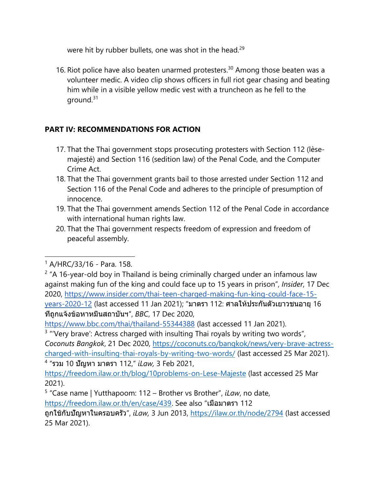were hit by rubber bullets, one was shot in the head.<sup>29</sup>

16. Riot police have also beaten unarmed protesters.<sup>30</sup> Among those beaten was a volunteer medic. A video clip shows officers in full riot gear chasing and beating him while in <sup>a</sup> visible yellow medic vest with <sup>a</sup> truncheon as he fell to the ground.<sup>31</sup>

## **PART IV: RECOMMENDATIONS FOR ACTION**

- 17. That the Thai governmen<sup>t</sup> stops prosecuting protesters with Section 112 (lèsemajesté) and Section 116 (sedition law) of the Penal Code, and the Computer Crime Act.
- 18. That the Thai governmen<sup>t</sup> grants bail to those arrested under Section 112 and Section 116 of the Penal Code and adheres to the principle of presumption of innocence.
- 19. That the Thai governmen<sup>t</sup> amends Section 112 of the Penal Code in accordance with international human rights law.
- 20. That the Thai governmen<sup>t</sup> respects freedom of expression and freedom of peaceful assembly.

<https://www.bbc.com/thai/thailand-55344388> (last accessed 11 Jan 2021).

<sup>3</sup> "'Very brave': Actress charged with insulting Thai royals by writing two words", *Coconuts Bangkok*, 21 Dec 2020, [https://coconuts.co/bangkok/news/very-brave-actress](https://coconuts.co/bangkok/news/very-brave-actress-charged-with-insulting-thai-royals-by-writing-two-words/)[charged-with-insulting-thai-royals-by-writing-two-words/](https://coconuts.co/bangkok/news/very-brave-actress-charged-with-insulting-thai-royals-by-writing-two-words/) (last accessed 25 Mar 2021). 4 "รวม 10 ปัญหา มาตรา 112," *iLaw,* 3 Feb 2021,

<https://freedom.ilaw.or.th/blog/10problems-on-Lese-Majeste> (last accessed 25 Mar 2021).

5 "Case name | Yutthapoom: 112 – Brother vs Brother", *iLaw*, no date,

<https://freedom.ilaw.or.th/en/case/439>. See also "เมื่อมาตรา <sup>112</sup>

<sup>1</sup> A/HRC/33/16 - Para. 158.

<sup>&</sup>lt;sup>2</sup> "A 16-year-old boy in Thailand is being criminally charged under an infamous law against making fun of the king and could face up to 15 years in prison", *Insider*, 17 Dec 2020, [https://www.insider.com/thai-teen-charged-making-fun-king-could-face-15](https://www.insider.com/thai-teen-charged-making-fun-king-could-face-15-years-2020-12) years-[2020-12](https://www.insider.com/thai-teen-charged-making-fun-king-could-face-15-years-2020-12) (last accessed <sup>11</sup> Jan 2021); "มาตรา 112: ศาลให้ประกันตัวเยาวชนอายุ <sup>16</sup> ที่ถูกแจ้งข้อหาหมิ่นสถาบันฯ", *BBC*, 17 Dec 2020,

ถูกใช้กับปัญหาในครอบครัว", *iLaw,* <sup>3</sup> Jun 2013, <https://ilaw.or.th/node/2794> (last accessed 25 Mar 2021).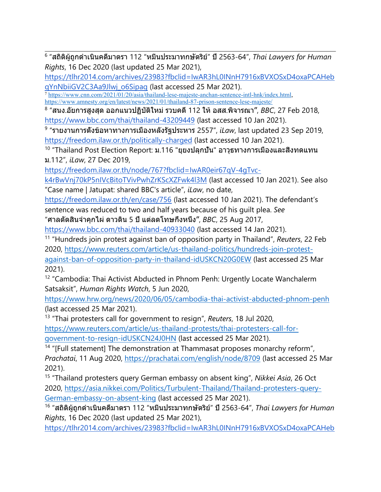6 "สถิติผู้ถูกดำเนินคดีมาตรา <sup>112</sup> "หมิ่นประมาทกษัตริย์" ปี2563-64", *Thai Lawyers for Human Rights*, 16 Dec 2020 (last updated 25 Mar 2021),

[https://tlhr2014.com/archives/23983?fbclid=IwAR3hL0INnH7916xBVXOSxD4oxaPCAHeb](https://tlhr2014.com/archives/23983?fbclid=IwAR3hL0INnH7916xBVXOSxD4oxaPCAHebqYnNbiiGV2C3Aa9Jlwj_o6Sipag) q[YnNbiiGV2C3Aa9Jlwj\\_o6Sipag](https://tlhr2014.com/archives/23983?fbclid=IwAR3hL0INnH7916xBVXOSxD4oxaPCAHebqYnNbiiGV2C3Aa9Jlwj_o6Sipag) (last accessed 25 Mar 2021).

7 <https://www.cnn.com/2021/01/20/asia/thailand-lese-majeste-anchan-sentence-intl-hnk/index.html>, <https://www.amnesty.org/en/latest/news/2021/01/thailand-87-prison-sentence-lese-majeste/>

8 "สนง.อัยการสูงสุด ออกแนวปฏิบัติใหม่ รวบคดี112 ให้อสส.พิจารณา", *BBC*, <sup>27</sup> Feb 2018, <https://www.bbc.com/thai/thailand-43209449> (last accessed 10 Jan 2021).

9 "รายงานการตั้งข้อหาทางการเมืองหลังรัฐประหาร <sup>2557</sup>", *iLaw*, last updated <sup>23</sup> Sep 2019, <https://freedom.ilaw.or.th/politically-charged> (last accessed 10 Jan 2021).

 $^{\sf 10}$  "Thailand Post Election Report: ม.116 "ยุยงปลุกปัน" อาวุธทางการเมืองและสิงทดแทน <sup>ม</sup>.112", *iLaw*, 27 Dec 2019,

[https://freedom.ilaw.or.th/node/767?fbclid=IwAR0eir67qV-4gTvc-](https://freedom.ilaw.or.th/node/767?fbclid=IwAR0eir67qV-4gTvc-k4rBwVnj70kP5nIVcBitoTVivPwhZrKScXZFwk4l3M)

[k4rBwVnj70kP5nIVcBitoTVivPwhZrKScXZFwk4l3M](https://freedom.ilaw.or.th/node/767?fbclid=IwAR0eir67qV-4gTvc-k4rBwVnj70kP5nIVcBitoTVivPwhZrKScXZFwk4l3M) (last accessed 10 Jan 2021). See also "Case name | Jatupat: shared BBC's article", *iLaw*, no date,

<https://freedom.ilaw.or.th/en/case/756> (last accessed 10 Jan 2021). The defendant'<sup>s</sup> sentence was reduced to two and half years because of his guilt plea. *See* "ศาลตัดสินจำคุกไผ่ ดาวดิน <sup>5</sup> ปีแต่ลดโทษกึ่งหนึ่ง", *BBC*, <sup>25</sup> Aug 2017,

<https://www.bbc.com/thai/thailand-40933040> (last accessed 14 Jan 2021).

<sup>11</sup> "Hundreds join protest against ban of opposition party in Thailand", *Reuters*, 22 Feb 2020, [https://www.reuters.com/article/us-thailand-politics/hundreds-join-protest](https://www.reuters.com/article/us-thailand-politics/hundreds-join-protest-against-ban-of-opposition-party-in-thailand-idUSKCN20G0EW)aga[inst-ban-of-opposition-party-in-thailand-idUSKCN20G0EW](https://www.reuters.com/article/us-thailand-politics/hundreds-join-protest-against-ban-of-opposition-party-in-thailand-idUSKCN20G0EW) (last accessed 25 Mar 2021).

<sup>12</sup> "Cambodia: Thai Activist Abducted in Phnom Penh: Urgently Locate Wanchalerm Satsaksit", *Human Rights Watch*, 5 Jun 2020,

<https://www.hrw.org/news/2020/06/05/cambodia-thai-activist-abducted-phnom-penh> (last accessed 25 Mar 2021).

13 "Thai protesters call for governmen<sup>t</sup> to resign", *Reuters*, 18 Jul 2020, [https://www.reuters.com/article/us-thailand-protests/thai-protesters-call-for](https://www.reuters.com/article/us-thailand-protests/thai-protesters-call-for-government-to-resign-idUSKCN24J0HN)governmen[t-to-resign-idUSKCN24J0HN](https://www.reuters.com/article/us-thailand-protests/thai-protesters-call-for-government-to-resign-idUSKCN24J0HN) (last accessed 25 Mar 2021).

<sup>14</sup> "[Full statement] The demonstration at Thammasat proposes monarchy reform", *Prachatai*, 11 Aug 2020, <https://prachatai.com/english/node/8709> (last accessed 25 Mar 2021).

15 "Thailand protesters query German embassy on absent king", *Nikkei Asia*, 26 Oct 2020, [https://asia.nikkei.com/Politics/Turbulent-Thailand/Thailand-protesters-query-](https://asia.nikkei.com/Politics/Turbulent-Thailand/Thailand-protesters-query-German-embassy-on-absent-king)[German-embassy-on-absent-king](https://asia.nikkei.com/Politics/Turbulent-Thailand/Thailand-protesters-query-German-embassy-on-absent-king) (last accessed 25 Mar 2021).

16 "สถิติผู้ถูกดำเนินคดีมาตรา <sup>112</sup> "หมิ่นประมาทกษัตริย์" ปี2563-64", *Thai Lawyers for Human Rights*, 16 Dec 2020 (last updated 25 Mar 2021),

[https://tlhr2014.com/archives/23983?fbclid=IwAR3hL0INnH7916xBVXOSxD4oxaPCAHeb](https://tlhr2014.com/archives/23983?fbclid=IwAR3hL0INnH7916xBVXOSxD4oxaPCAHebqYnNbiiGV2C3Aa9Jlwj_o6Sipag)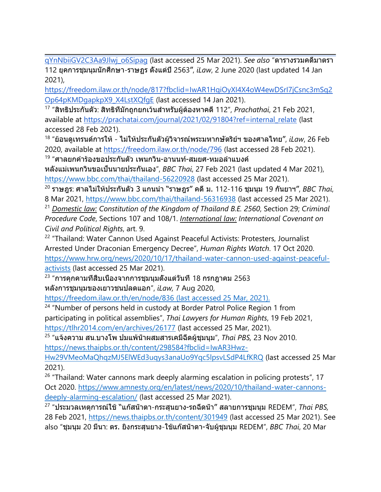q[YnNbiiGV2C3Aa9Jlwj\\_o6Sipag](https://tlhr2014.com/archives/23983?fbclid=IwAR3hL0INnH7916xBVXOSxD4oxaPCAHebqYnNbiiGV2C3Aa9Jlwj_o6Sipag) (last accessed <sup>25</sup> Mar 2021). *See also* "ตารางรวมคดีมาตรา <sup>112</sup> ยุคการชุมนุมนักศึกษา-ราษฏร ตั้งแต่ปี2563", *iLaw*, <sup>2</sup> June <sup>2020</sup> (last updated <sup>14</sup> Jan 2021),

[https://freedom.ilaw.or.th/node/817?fbclid=IwAR1HqiOyXI4X4oW4ewDSrI7jCsnc3mSq2](https://freedom.ilaw.or.th/node/817?fbclid=IwAR1HqiOyXI4X4oW4ewDSrI7jCsnc3mSq2Op64pKMDgapkpX9_X4LstXQfgE) [Op64pKMDgapkpX9\\_X4LstXQfgE](https://freedom.ilaw.or.th/node/817?fbclid=IwAR1HqiOyXI4X4oW4ewDSrI7jCsnc3mSq2Op64pKMDgapkpX9_X4LstXQfgE) (last accessed 14 Jan 2021).

17 "สิทธิประกันตัว: สิทธิที่มักถูกยกเว้นสำหรับผู้ต้องหาคดี112", *Prachathai*, 21 Feb 2021, available at [https://prachatai.com/journal/2021/02/91804?ref=internal\\_relate](https://prachatai.com/journal/2021/02/91804?ref=internal_relate) (last accessed 28 Feb 2021).

18 "ย้อนดูเทรนด์การให้- ไม่ให้ประกันตัวผู้วิจารณ์พระมหากษัตริย์ฯ ของศาลไทย", *iLaw*, 26 Feb 2020, available at <https://freedom.ilaw.or.th/node/796> (last accessed 28 Feb 2021).

19 "ศาลยกคำร้องขอประกันตัว เพนกวิน-อานนท์-สมยศ-หมอลำแบงค์

หลังแม่เพนกวินขอเป็นนายประกันเอง", *BBC Thai*, <sup>27</sup> Feb <sup>2021</sup> (last updated <sup>4</sup> Mar 2021), <https://www.bbc.com/thai/thailand-56220928> (last accessed 25 Mar 2021).

20 ราษฎร: ศาลไม่ให้ประกันตัว 3 แกนนำ "ราษฎร" คดีม. 112-116 ชุมนุม 19 กันยาฯ", *BBC Thai*, 8 Mar 2021, <https://www.bbc.com/thai/thailand-56316938> (last accessed 25 Mar 2021).

21 *Domestic law: Constitution of the Kingdom of Thailand B.E. 2560*, Section 29; *Criminal Procedure Code*, Sections 107 and 108/1. *International law: International Covenant on Civil and Political Rights*, art. 9.

<sup>22</sup> "Thailand: Water Cannon Used Against Peaceful Activists: Protesters, Journalist Arrested Under Draconian Emergency Decree", *Human Rights Watch*. 17 Oct 2020. [https://www.hrw.org/news/2020/10/17/thailand-water-cannon-used-against-peaceful](https://www.hrw.org/news/2020/10/17/thailand-water-cannon-used-against-peaceful-activists)[activists](https://www.hrw.org/news/2020/10/17/thailand-water-cannon-used-against-peaceful-activists) (last accessed 25 Mar 2021).

<sup>23</sup> "การคุกคามที่สืบเนื่องจากการชุมนุมตั้งแต่วันที่ 18 กรกฎาคม 2563 หลังการชุมนุมของเยาวชนปลดแอก", *iLaw,* <sup>7</sup> Aug 2020,

<https://freedom.ilaw.or.th/en/node/836> (last accessed 25 Mar, 2021).

<sup>24</sup> "Number of persons held in custody at Border Patrol Police Region 1 from participating in political assemblies", *Thai Lawyers for Human Rights*, 19 Feb 2021, <https://tlhr2014.com/en/archives/26177> (last accessed 25 Mar, 2021).

25 "แจ้งความ สน.บางโพ ปมแพ้น้ำผสมสารเคมีฉีดผู้ชุมนุม", *Thai PBS,* 23 Nov 2010.

[https://news.thaipbs.or.th/content/298584?fbclid=IwAR3Hwz-](https://news.thaipbs.or.th/content/298584?fbclid=IwAR3Hwz-Hw29VMeoMaQhqzMJ5ElWEd3uqys3anaUo9Yqc5lpsvLSdP4LfKRQ)

[Hw29VMeoMaQhqzMJ5ElWEd3uqys3anaUo9Yqc5lpsvLSdP4LfKRQ](https://news.thaipbs.or.th/content/298584?fbclid=IwAR3Hwz-Hw29VMeoMaQhqzMJ5ElWEd3uqys3anaUo9Yqc5lpsvLSdP4LfKRQ) (last accessed 25 Mar 2021).

<sup>26</sup> "Thailand: Water cannons mark deeply alarming escalation in policing protests", 17 Oct 2020. [https://www.amnesty.org/en/latest/news/2020/10/thailand-water-cannons](https://www.amnesty.org/en/latest/news/2020/10/thailand-water-cannons-deeply-alarming-escalation/)[deeply-alarming-escalation/](https://www.amnesty.org/en/latest/news/2020/10/thailand-water-cannons-deeply-alarming-escalation/) (last accessed 25 Mar 2021).

27 "ประมวลเหตุการณ์ใช้"แก๊สน้ำตา-กระสุนยาง-รถฉีดน้ำ" สลายการชุมนุม REDEM", *Thai PBS,* 28 Feb 2021, <https://news.thaipbs.or.th/content/301949> (last accessed 25 Mar 2021). See also "ชุมนุม 20 มีนา: ตร. ยิงกระสุนยาง-ใช้แก๊สน้ำตา-จับผู้ชุมนุม REDEM", *BBC Thai*, 20 Mar